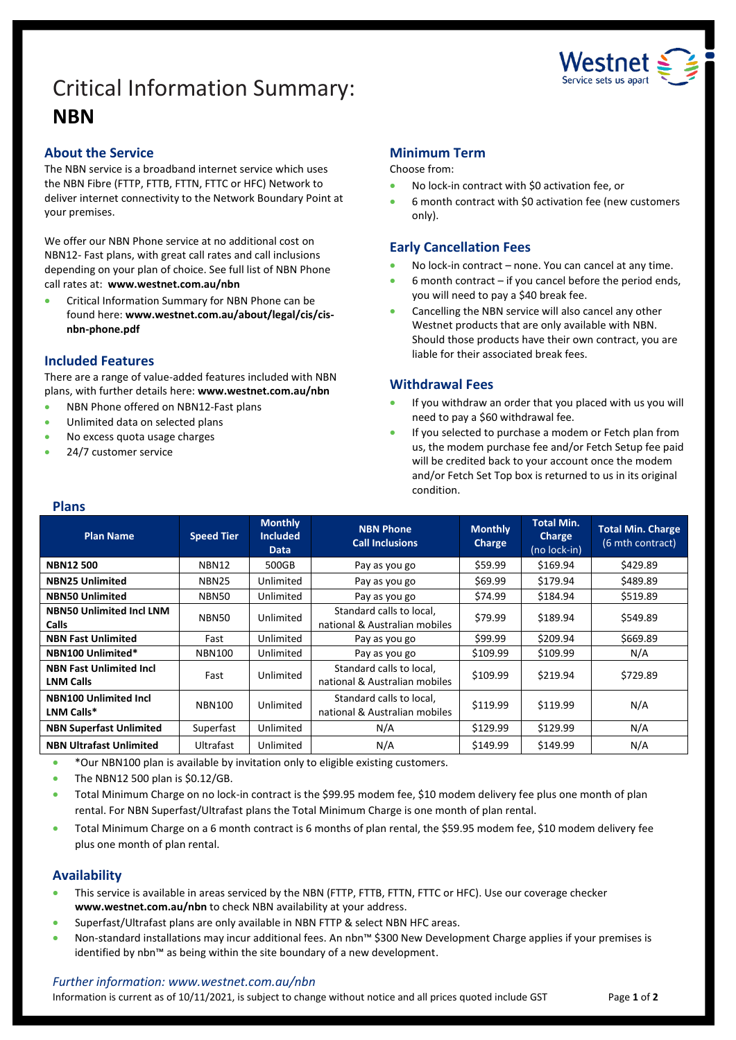# Critical Information Summary: **NBN**



## **About the Service**

The NBN service is a broadband internet service which uses the NBN Fibre (FTTP, FTTB, FTTN, FTTC or HFC) Network to deliver internet connectivity to the Network Boundary Point at your premises.

We offer our NBN Phone service at no additional cost on NBN12- Fast plans, with great call rates and call inclusions depending on your plan of choice. See full list of NBN Phone call rates at: **[www.westnet.com.au/nbn](http://www.westnet.com.au/nbn)**

• Critical Information Summary for NBN Phone can be found here: **www.westnet.com.au/about/legal/cis/cisnbn-phone.pdf**

## **Included Features**

There are a range of value-added features included with NBN plans, with further details here: **[www.westnet.com.au/nbn](http://www.westnet.com.au/nbn)**

- NBN Phone offered on NBN12-Fast plans
- Unlimited data on selected plans
- No excess quota usage charges
- 24/7 customer service

## **Minimum Term**

#### Choose from:

- No lock-in contract with \$0 activation fee, or
- 6 month contract with \$0 activation fee (new customers only).

## **Early Cancellation Fees**

- No lock-in contract none. You can cancel at any time.
- $6$  month contract if you cancel before the period ends, you will need to pay a \$40 break fee.
- Cancelling the NBN service will also cancel any other Westnet products that are only available with NBN. Should those products have their own contract, you are liable for their associated break fees.

## **Withdrawal Fees**

- If you withdraw an order that you placed with us you will need to pay a \$60 withdrawal fee.
- If you selected to purchase a modem or Fetch plan from us, the modem purchase fee and/or Fetch Setup fee paid will be credited back to your account once the modem and/or Fetch Set Top box is returned to us in its original condition.

#### **Plans**

| <b>Plan Name</b>                                   | <b>Speed Tier</b> | <b>Monthly</b><br><b>Included</b><br>Data | <b>NBN Phone</b><br><b>Call Inclusions</b>                | <b>Monthly</b><br>Charge | <b>Total Min.</b><br>Charge<br>(no lock-in) | <b>Total Min. Charge</b><br>(6 mth contract) |
|----------------------------------------------------|-------------------|-------------------------------------------|-----------------------------------------------------------|--------------------------|---------------------------------------------|----------------------------------------------|
| <b>NBN12500</b>                                    | NBN12             | 500GB                                     | Pay as you go                                             | \$59.99                  | \$169.94                                    | \$429.89                                     |
| <b>NBN25 Unlimited</b>                             | NBN25             | Unlimited                                 | Pay as you go                                             | \$69.99                  | \$179.94                                    | \$489.89                                     |
| <b>NBN50 Unlimited</b>                             | NBN50             | Unlimited                                 | Pay as you go                                             | \$74.99                  | \$184.94                                    | \$519.89                                     |
| <b>NBN50 Unlimited Incl LNM</b><br><b>Calls</b>    | NBN50             | Unlimited                                 | Standard calls to local,<br>national & Australian mobiles | \$79.99                  | \$189.94                                    | \$549.89                                     |
| <b>NBN Fast Unlimited</b>                          | Fast              | Unlimited                                 | Pay as you go                                             | \$99.99                  | \$209.94                                    | \$669.89                                     |
| NBN100 Unlimited*                                  | <b>NBN100</b>     | Unlimited                                 | Pay as you go                                             | \$109.99                 | \$109.99                                    | N/A                                          |
| <b>NBN Fast Unlimited Incl</b><br><b>LNM Calls</b> | Fast              | Unlimited                                 | Standard calls to local,<br>national & Australian mobiles | \$109.99                 | \$219.94                                    | \$729.89                                     |
| <b>NBN100 Unlimited Incl</b><br><b>LNM Calls*</b>  | <b>NBN100</b>     | Unlimited                                 | Standard calls to local,<br>national & Australian mobiles | \$119.99                 | \$119.99                                    | N/A                                          |
| <b>NBN Superfast Unlimited</b>                     | Superfast         | Unlimited                                 | N/A                                                       | \$129.99                 | \$129.99                                    | N/A                                          |
| <b>NBN Ultrafast Unlimited</b>                     | Ultrafast         | Unlimited                                 | N/A                                                       | \$149.99                 | \$149.99                                    | N/A                                          |

- \*Our NBN100 plan is available by invitation only to eligible existing customers.
- $\bullet$  The NBN12 500 plan is \$0.12/GB.
- Total Minimum Charge on no lock-in contract is the \$99.95 modem fee, \$10 modem delivery fee plus one month of plan rental. For NBN Superfast/Ultrafast plans the Total Minimum Charge is one month of plan rental.
- Total Minimum Charge on a 6 month contract is 6 months of plan rental, the \$59.95 modem fee, \$10 modem delivery fee plus one month of plan rental.

## **Availability**

- This service is available in areas serviced by the NBN (FTTP, FTTB, FTTN, FTTC or HFC). Use ou[r coverage checker](https://www.westnet.com.au/internet-products/broadband/nbn/coverage/) **[www.westnet.com.au/nbn](http://www.westnet.com.au/nbn)** to check NBN availability at your address.
- Superfast/Ultrafast plans are only available in NBN FTTP & select NBN HFC areas.
- Non-standard installations may incur additional fees. An nbn™ \$300 New Development Charge applies if your premises is identified by nbn™ as being within the site boundary of a new development.

### *Further information: www.westnet.com.au/nbn*

Information is current as of 10/11/2021, is subject to change without notice and all prices quoted include GST Page 1 of 2